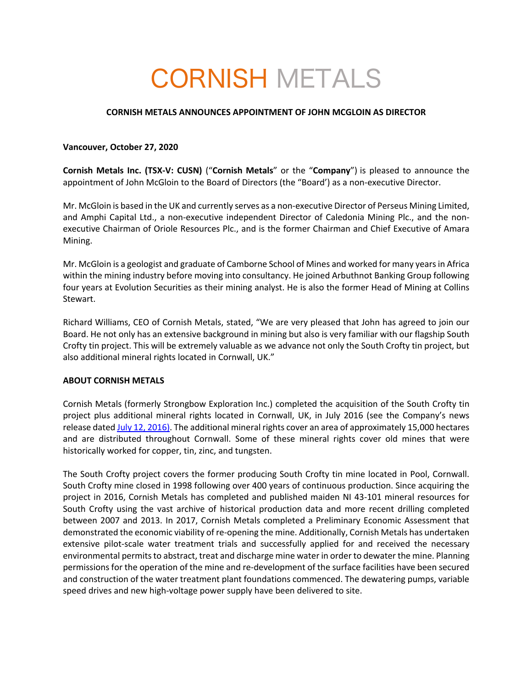# CORNISH METALS

## **CORNISH METALS ANNOUNCES APPOINTMENT OF JOHN MCGLOIN AS DIRECTOR**

### **Vancouver, October 27, 2020**

**Cornish Metals Inc. (TSX-V: CUSN)** ("**Cornish Metals**" or the "**Company**") is pleased to announce the appointment of John McGloin to the Board of Directors (the "Board') as a non-executive Director.

Mr. McGloin is based in the UK and currently serves as a non-executive Director of Perseus Mining Limited, and Amphi Capital Ltd., a non-executive independent Director of Caledonia Mining Plc., and the nonexecutive Chairman of Oriole Resources Plc., and is the former Chairman and Chief Executive of Amara Mining.

Mr. McGloin is a geologist and graduate of Camborne School of Mines and worked for many years in Africa within the mining industry before moving into consultancy. He joined Arbuthnot Banking Group following four years at Evolution Securities as their mining analyst. He is also the former Head of Mining at Collins Stewart.

Richard Williams, CEO of Cornish Metals, stated, "We are very pleased that John has agreed to join our Board. He not only has an extensive background in mining but also is very familiar with our flagship South Crofty tin project. This will be extremely valuable as we advance not only the South Crofty tin project, but also additional mineral rights located in Cornwall, UK."

#### **ABOUT CORNISH METALS**

Cornish Metals (formerly Strongbow Exploration Inc.) completed the acquisition of the South Crofty tin project plus additional mineral rights located in Cornwall, UK, in July 2016 (see the Company's news release dated July 12, 2016). The additional mineral rights cover an area of approximately 15,000 hectares and are distributed throughout Cornwall. Some of these mineral rights cover old mines that were historically worked for copper, tin, zinc, and tungsten.

The South Crofty project covers the former producing South Crofty tin mine located in Pool, Cornwall. South Crofty mine closed in 1998 following over 400 years of continuous production. Since acquiring the project in 2016, Cornish Metals has completed and published maiden NI 43-101 mineral resources for South Crofty using the vast archive of historical production data and more recent drilling completed between 2007 and 2013. In 2017, Cornish Metals completed a Preliminary Economic Assessment that demonstrated the economic viability of re-opening the mine. Additionally, Cornish Metals has undertaken extensive pilot-scale water treatment trials and successfully applied for and received the necessary environmental permits to abstract, treat and discharge mine water in order to dewater the mine. Planning permissions for the operation of the mine and re-development of the surface facilities have been secured and construction of the water treatment plant foundations commenced. The dewatering pumps, variable speed drives and new high-voltage power supply have been delivered to site.